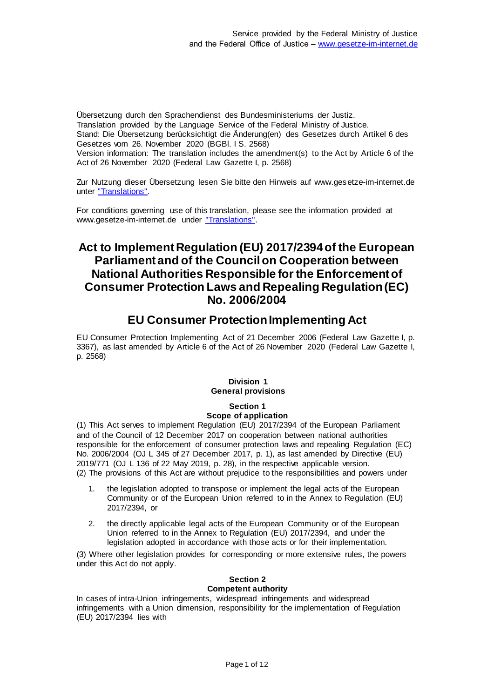Übersetzung durch den Sprachendienst des Bundesministeriums der Justiz. Translation provided by the Language Service of the Federal Ministry of Justice. Stand: Die Übersetzung berücksichtigt die Änderung(en) des Gesetzes durch Artikel 6 des Gesetzes vom 26. November 2020 (BGBl. I S. 2568) Version information: The translation includes the amendment(s) to the Act by Article 6 of the Act of 26 November 2020 (Federal Law Gazette I, p. 2568)

Zur Nutzung dieser Übersetzung lesen Sie bitte den Hinweis auf www.gesetze-im-internet.de unter ["Translations".](https://www.gesetze-im-internet.de/Teilliste_translations.html)

For conditions governing use of this translation, please see the information provided at www.gesetze-im-internet.de under ["Translations".](https://www.gesetze-im-internet.de/Teilliste_translations.html)

# **Act to Implement Regulation (EU) 2017/2394 of the European Parliament and of the Council on Cooperation between National Authorities Responsible for the Enforcement of Consumer Protection Laws and Repealing Regulation (EC) No. 2006/2004**

# **EU Consumer Protection Implementing Act**

EU Consumer Protection Implementing Act of 21 December 2006 (Federal Law Gazette I, p. 3367), as last amended by Article 6 of the Act of 26 November 2020 (Federal Law Gazette I, p. 2568)

# **Division 1 General provisions**

### **Section 1 Scope of application**

(1) This Act serves to implement Regulation (EU) 2017/2394 of the European Parliament and of the Council of 12 December 2017 on cooperation between national authorities responsible for the enforcement of consumer protection laws and repealing Regulation (EC) No. 2006/2004 (OJ L 345 of 27 December 2017, p. 1), as last amended by Directive (EU) 2019/771 (OJ L 136 of 22 May 2019, p. 28), in the respective applicable version. (2) The provisions of this Act are without prejudice to the responsibilities and powers under

- 1. the legislation adopted to transpose or implement the legal acts of the European Community or of the European Union referred to in the Annex to Regulation (EU) 2017/2394, or
- 2. the directly applicable legal acts of the European Community or of the European Union referred to in the Annex to Regulation (EU) 2017/2394, and under the legislation adopted in accordance with those acts or for their implementation.

(3) Where other legislation provides for corresponding or more extensive rules, the powers under this Act do not apply.

### **Section 2 Competent authority**

In cases of intra-Union infringements, widespread infringements and widespread infringements with a Union dimension, responsibility for the implementation of Regulation (EU) 2017/2394 lies with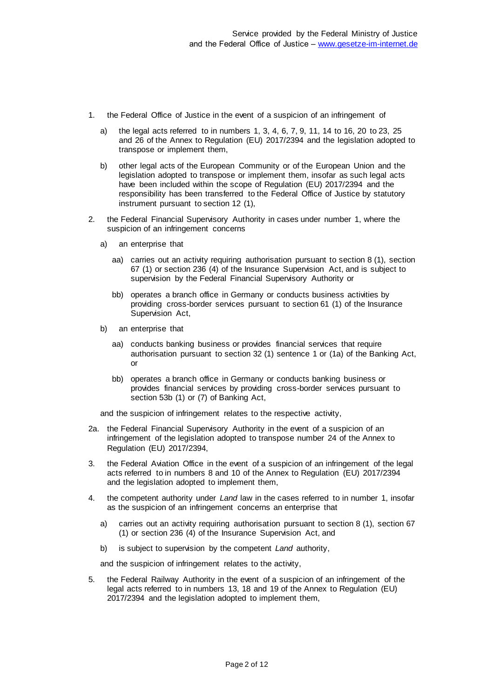- 1. the Federal Office of Justice in the event of a suspicion of an infringement of
	- a) the legal acts referred to in numbers 1, 3, 4, 6, 7, 9, 11, 14 to 16, 20 to 23, 25 and 26 of the Annex to Regulation (EU) 2017/2394 and the legislation adopted to transpose or implement them,
	- b) other legal acts of the European Community or of the European Union and the legislation adopted to transpose or implement them, insofar as such legal acts have been included within the scope of Regulation (EU) 2017/2394 and the responsibility has been transferred to the Federal Office of Justice by statutory instrument pursuant to section 12 (1),
- 2. the Federal Financial Supervisory Authority in cases under number 1, where the suspicion of an infringement concerns
	- a) an enterprise that
		- aa) carries out an activity requiring authorisation pursuant to section 8 (1), section 67 (1) or section 236 (4) of the Insurance Supervision Act, and is subject to supervision by the Federal Financial Supervisory Authority or
		- bb) operates a branch office in Germany or conducts business activities by providing cross-border services pursuant to section 61 (1) of the Insurance Supervision Act,
	- b) an enterprise that
		- aa) conducts banking business or provides financial services that require authorisation pursuant to section 32 (1) sentence 1 or (1a) of the Banking Act, or
		- bb) operates a branch office in Germany or conducts banking business or provides financial services by providing cross-border services pursuant to section 53b (1) or (7) of Banking Act,

and the suspicion of infringement relates to the respective activity,

- 2a. the Federal Financial Supervisory Authority in the event of a suspicion of an infringement of the legislation adopted to transpose number 24 of the Annex to Regulation (EU) 2017/2394,
- 3. the Federal Aviation Office in the event of a suspicion of an infringement of the legal acts referred to in numbers 8 and 10 of the Annex to Regulation (EU) 2017/2394 and the legislation adopted to implement them,
- 4. the competent authority under *Land* law in the cases referred to in number 1, insofar as the suspicion of an infringement concerns an enterprise that
	- a) carries out an activity requiring authorisation pursuant to section 8 (1), section 67 (1) or section 236 (4) of the Insurance Supervision Act, and
	- b) is subject to supervision by the competent *Land* authority,

and the suspicion of infringement relates to the activity,

5. the Federal Railway Authority in the event of a suspicion of an infringement of the legal acts referred to in numbers 13, 18 and 19 of the Annex to Regulation (EU) 2017/2394 and the legislation adopted to implement them,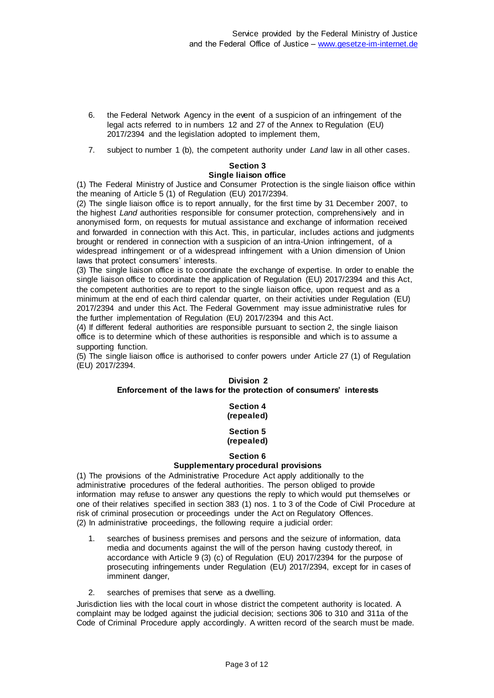- 6. the Federal Network Agency in the event of a suspicion of an infringement of the legal acts referred to in numbers 12 and 27 of the Annex to Regulation (EU) 2017/2394 and the legislation adopted to implement them,
- 7. subject to number 1 (b), the competent authority under *Land* law in all other cases.

# **Section 3**

# **Single liaison office**

(1) The Federal Ministry of Justice and Consumer Protection is the single liaison office within the meaning of Article 5 (1) of Regulation (EU) 2017/2394.

(2) The single liaison office is to report annually, for the first time by 31 December 2007, to the highest *Land* authorities responsible for consumer protection, comprehensively and in anonymised form, on requests for mutual assistance and exchange of information received and forwarded in connection with this Act. This, in particular, includes actions and judgments brought or rendered in connection with a suspicion of an intra-Union infringement, of a widespread infringement or of a widespread infringement with a Union dimension of Union laws that protect consumers' interests.

(3) The single liaison office is to coordinate the exchange of expertise. In order to enable the single liaison office to coordinate the application of Regulation (EU) 2017/2394 and this Act, the competent authorities are to report to the single liaison office, upon request and as a minimum at the end of each third calendar quarter, on their activities under Regulation (EU) 2017/2394 and under this Act. The Federal Government may issue administrative rules for the further implementation of Regulation (EU) 2017/2394 and this Act.

(4) If different federal authorities are responsible pursuant to section 2, the single liaison office is to determine which of these authorities is responsible and which is to assume a supporting function.

(5) The single liaison office is authorised to confer powers under Article 27 (1) of Regulation (EU) 2017/2394.

#### **Division 2 Enforcement of the laws for the protection of consumers' interests**

# **Section 4 (repealed)**

#### **Section 5 (repealed)**

### **Section 6**

# **Supplementary procedural provisions**

(1) The provisions of the Administrative Procedure Act apply additionally to the administrative procedures of the federal authorities. The person obliged to provide information may refuse to answer any questions the reply to which would put themselves or one of their relatives specified in section 383 (1) nos. 1 to 3 of the Code of Civil Procedure at risk of criminal prosecution or proceedings under the Act on Regulatory Offences. (2) In administrative proceedings, the following require a judicial order:

- 1. searches of business premises and persons and the seizure of information, data media and documents against the will of the person having custody thereof, in accordance with Article 9 (3) (c) of Regulation (EU) 2017/2394 for the purpose of prosecuting infringements under Regulation (EU) 2017/2394, except for in cases of imminent danger,
- 2. searches of premises that serve as a dwelling.

Jurisdiction lies with the local court in whose district the competent authority is located. A complaint may be lodged against the judicial decision; sections 306 to 310 and 311a of the Code of Criminal Procedure apply accordingly. A written record of the search must be made.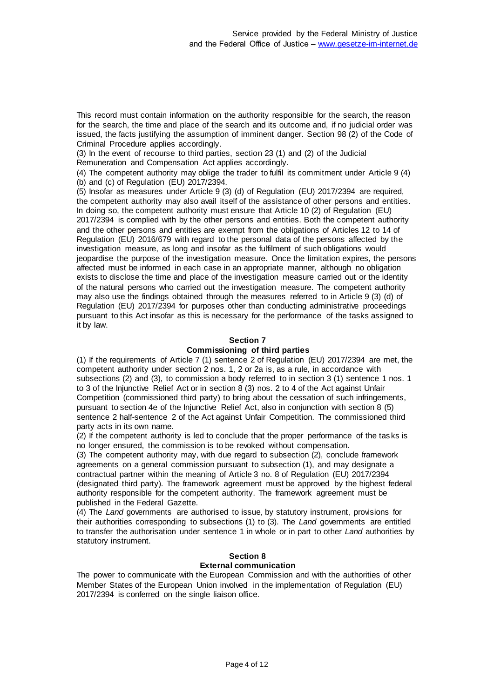This record must contain information on the authority responsible for the search, the reason for the search, the time and place of the search and its outcome and, if no judicial order was issued, the facts justifying the assumption of imminent danger. Section 98 (2) of the Code of Criminal Procedure applies accordingly.

(3) In the event of recourse to third parties, section 23 (1) and (2) of the Judicial Remuneration and Compensation Act applies accordingly.

(4) The competent authority may oblige the trader to fulfil its commitment under Article 9 (4) (b) and (c) of Regulation (EU) 2017/2394.

(5) Insofar as measures under Article 9 (3) (d) of Regulation (EU) 2017/2394 are required, the competent authority may also avail itself of the assistance of other persons and entities. In doing so, the competent authority must ensure that Article 10 (2) of Regulation (EU) 2017/2394 is complied with by the other persons and entities. Both the competent authority and the other persons and entities are exempt from the obligations of Articles 12 to 14 of Regulation (EU) 2016/679 with regard to the personal data of the persons affected by the investigation measure, as long and insofar as the fulfilment of such obligations would jeopardise the purpose of the investigation measure. Once the limitation expires, the persons affected must be informed in each case in an appropriate manner, although no obligation exists to disclose the time and place of the investigation measure carried out or the identity of the natural persons who carried out the investigation measure. The competent authority may also use the findings obtained through the measures referred to in Article 9 (3) (d) of Regulation (EU) 2017/2394 for purposes other than conducting administrative proceedings pursuant to this Act insofar as this is necessary for the performance of the tasks assigned to it by law.

# **Section 7**

# **Commissioning of third parties**

(1) If the requirements of Article 7 (1) sentence 2 of Regulation (EU) 2017/2394 are met, the competent authority under section 2 nos. 1, 2 or 2a is, as a rule, in accordance with subsections (2) and (3), to commission a body referred to in section 3 (1) sentence 1 nos. 1 to 3 of the Injunctive Relief Act or in section 8 (3) nos. 2 to 4 of the Act against Unfair Competition (commissioned third party) to bring about the cessation of such infringements, pursuant to section 4e of the Injunctive Relief Act, also in conjunction with section 8 (5) sentence 2 half-sentence 2 of the Act against Unfair Competition. The commissioned third party acts in its own name.

(2) If the competent authority is led to conclude that the proper performance of the tas ks is no longer ensured, the commission is to be revoked without compensation.

(3) The competent authority may, with due regard to subsection (2), conclude framework agreements on a general commission pursuant to subsection (1), and may designate a contractual partner within the meaning of Article 3 no. 8 of Regulation (EU) 2017/2394 (designated third party). The framework agreement must be approved by the highest federal authority responsible for the competent authority. The framework agreement must be published in the Federal Gazette.

(4) The *Land* governments are authorised to issue, by statutory instrument, provisions for their authorities corresponding to subsections (1) to (3). The *Land* governments are entitled to transfer the authorisation under sentence 1 in whole or in part to other *Land* authorities by statutory instrument.

# **Section 8**

# **External communication**

The power to communicate with the European Commission and with the authorities of other Member States of the European Union involved in the implementation of Regulation (EU) 2017/2394 is conferred on the single liaison office.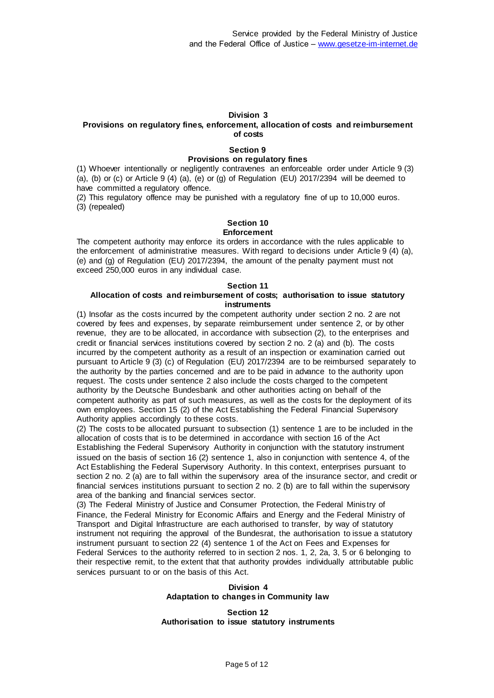### **Division 3**

### **Provisions on regulatory fines, enforcement, allocation of costs and reimbursement of costs**

### **Section 9**

### **Provisions on regulatory fines**

(1) Whoever intentionally or negligently contravenes an enforceable order under Article 9 (3) (a), (b) or (c) or Article 9 (4) (a), (e) or (g) of Regulation (EU) 2017/2394 will be deemed to have committed a regulatory offence.

(2) This regulatory offence may be punished with a regulatory fine of up to 10,000 euros. (3) (repealed)

# **Section 10**

### **Enforcement**

The competent authority may enforce its orders in accordance with the rules applicable to the enforcement of administrative measures. With regard to decisions under Article 9 (4) (a), (e) and (g) of Regulation (EU) 2017/2394, the amount of the penalty payment must not exceed 250,000 euros in any individual case.

#### **Section 11**

# **Allocation of costs and reimbursement of costs; authorisation to issue statutory instruments**

(1) Insofar as the costs incurred by the competent authority under section 2 no. 2 are not covered by fees and expenses, by separate reimbursement under sentence 2, or by other revenue, they are to be allocated, in accordance with subsection (2), to the enterprises and credit or financial services institutions covered by section 2 no. 2 (a) and (b). The costs incurred by the competent authority as a result of an inspection or examination carried out pursuant to Article 9 (3) (c) of Regulation (EU) 2017/2394 are to be reimbursed separately to the authority by the parties concerned and are to be paid in advance to the authority upon request. The costs under sentence 2 also include the costs charged to the competent authority by the Deutsche Bundesbank and other authorities acting on behalf of the competent authority as part of such measures, as well as the costs for the deployment of its own employees. Section 15 (2) of the Act Establishing the Federal Financial Supervisory Authority applies accordingly to these costs.

(2) The costs to be allocated pursuant to subsection (1) sentence 1 are to be included in the allocation of costs that is to be determined in accordance with section 16 of the Act Establishing the Federal Supervisory Authority in conjunction with the statutory instrument issued on the basis of section 16 (2) sentence 1, also in conjunction with sentence 4, of the Act Establishing the Federal Supervisory Authority. In this context, enterprises pursuant to section 2 no. 2 (a) are to fall within the supervisory area of the insurance sector, and credit or financial services institutions pursuant to section 2 no. 2 (b) are to fall within the supervisory area of the banking and financial services sector.

(3) The Federal Ministry of Justice and Consumer Protection, the Federal Minis try of Finance, the Federal Ministry for Economic Affairs and Energy and the Federal Ministry of Transport and Digital Infrastructure are each authorised to transfer, by way of statutory instrument not requiring the approval of the Bundesrat, the authorisation to issue a statutory instrument pursuant to section 22 (4) sentence 1 of the Act on Fees and Expenses for Federal Services to the authority referred to in section 2 nos. 1, 2, 2a, 3, 5 or 6 belonging to their respective remit, to the extent that that authority provides individually attributable public services pursuant to or on the basis of this Act.

### **Division 4 Adaptation to changes in Community law**

### **Section 12 Authorisation to issue statutory instruments**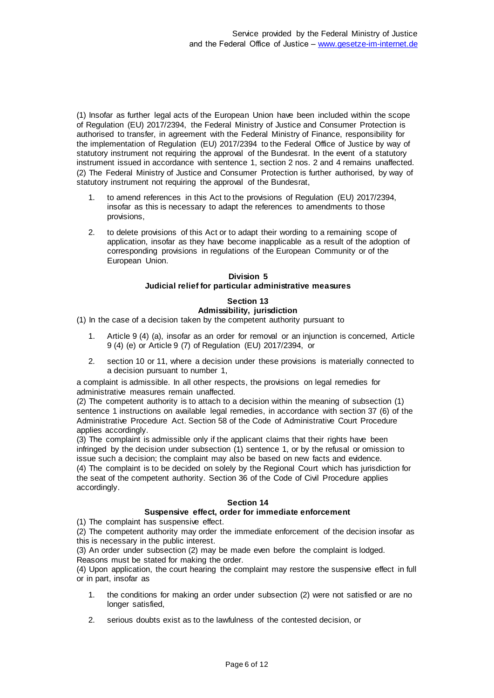(1) Insofar as further legal acts of the European Union have been included within the scope of Regulation (EU) 2017/2394, the Federal Ministry of Justice and Consumer Protection is authorised to transfer, in agreement with the Federal Ministry of Finance, responsibility for the implementation of Regulation (EU) 2017/2394 to the Federal Office of Justice by way of statutory instrument not requiring the approval of the Bundesrat. In the event of a statutory instrument issued in accordance with sentence 1, section 2 nos. 2 and 4 remains unaffected. (2) The Federal Ministry of Justice and Consumer Protection is further authorised, by way of statutory instrument not requiring the approval of the Bundesrat,

- 1. to amend references in this Act to the provisions of Regulation (EU) 2017/2394, insofar as this is necessary to adapt the references to amendments to those provisions,
- 2. to delete provisions of this Act or to adapt their wording to a remaining scope of application, insofar as they have become inapplicable as a result of the adoption of corresponding provisions in regulations of the European Community or of the European Union.

# **Division 5 Judicial relief for particular administrative measures**

# **Section 13 Admissibility, jurisdiction**

(1) In the case of a decision taken by the competent authority pursuant to

- 1. Article 9 (4) (a), insofar as an order for removal or an injunction is concerned, Article 9 (4) (e) or Article 9 (7) of Regulation (EU) 2017/2394, or
- 2. section 10 or 11, where a decision under these provisions is materially connected to a decision pursuant to number 1,

a complaint is admissible. In all other respects, the provisions on legal remedies for administrative measures remain unaffected.

(2) The competent authority is to attach to a decision within the meaning of subsection (1) sentence 1 instructions on available legal remedies, in accordance with section 37 (6) of the Administrative Procedure Act. Section 58 of the Code of Administrative Court Procedure applies accordingly.

(3) The complaint is admissible only if the applicant claims that their rights have been infringed by the decision under subsection (1) sentence 1, or by the refusal or omission to issue such a decision; the complaint may also be based on new facts and evidence. (4) The complaint is to be decided on solely by the Regional Court which has jurisdiction for the seat of the competent authority. Section 36 of the Code of Civil Procedure applies accordingly.

# **Section 14**

# **Suspensive effect, order for immediate enforcement**

(1) The complaint has suspensive effect.

(2) The competent authority may order the immediate enforcement of the decision insofar as this is necessary in the public interest.

(3) An order under subsection (2) may be made even before the complaint is lodged. Reasons must be stated for making the order.

(4) Upon application, the court hearing the complaint may restore the suspensive effect in full or in part, insofar as

- 1. the conditions for making an order under subsection (2) were not satisfied or are no longer satisfied,
- 2. serious doubts exist as to the lawfulness of the contested decision, or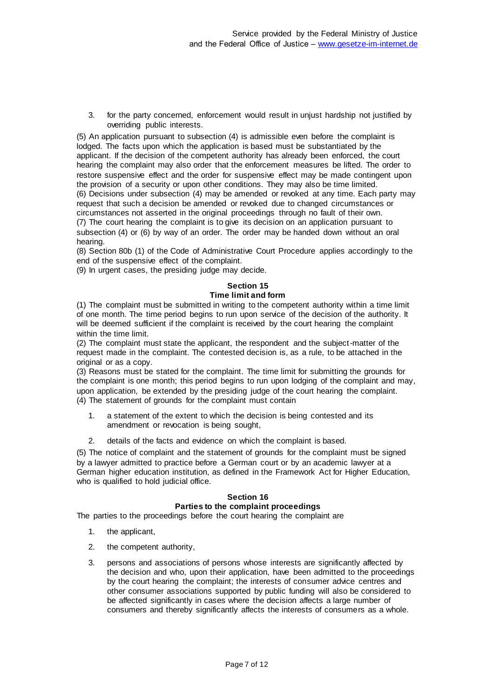3. for the party concerned, enforcement would result in unjust hardship not justified by overriding public interests.

(5) An application pursuant to subsection (4) is admissible even before the complaint is lodged. The facts upon which the application is based must be substantiated by the applicant. If the decision of the competent authority has already been enforced, the court hearing the complaint may also order that the enforcement measures be lifted. The order to restore suspensive effect and the order for suspensive effect may be made contingent upon the provision of a security or upon other conditions. They may also be time limited. (6) Decisions under subsection (4) may be amended or revoked at any time. Each party may request that such a decision be amended or revoked due to changed circumstances or circumstances not asserted in the original proceedings through no fault of their own. (7) The court hearing the complaint is to give its decision on an application pursuant to subsection (4) or (6) by way of an order. The order may be handed down without an oral hearing.

(8) Section 80b (1) of the Code of Administrative Court Procedure applies accordingly to the end of the suspensive effect of the complaint.

(9) In urgent cases, the presiding judge may decide.

# **Section 15**

# **Time limit and form**

(1) The complaint must be submitted in writing to the competent authority within a time limit of one month. The time period begins to run upon service of the decision of the authority. It will be deemed sufficient if the complaint is received by the court hearing the complaint within the time limit.

(2) The complaint must state the applicant, the respondent and the subject-matter of the request made in the complaint. The contested decision is, as a rule, to be attached in the original or as a copy.

(3) Reasons must be stated for the complaint. The time limit for submitting the grounds for the complaint is one month; this period begins to run upon lodging of the complaint and may, upon application, be extended by the presiding judge of the court hearing the complaint. (4) The statement of grounds for the complaint must contain

- 1. a statement of the extent to which the decision is being contested and its amendment or revocation is being sought,
- 2. details of the facts and evidence on which the complaint is based.

(5) The notice of complaint and the statement of grounds for the complaint must be signed by a lawyer admitted to practice before a German court or by an academic lawyer at a German higher education institution, as defined in the Framework Act for Higher Education, who is qualified to hold judicial office.

# **Section 16 Parties to the complaint proceedings**

The parties to the proceedings before the court hearing the complaint are

- 1. the applicant,
- 2. the competent authority,
- 3. persons and associations of persons whose interests are significantly affected by the decision and who, upon their application, have been admitted to the proceedings by the court hearing the complaint; the interests of consumer advice centres and other consumer associations supported by public funding will also be considered to be affected significantly in cases where the decision affects a large number of consumers and thereby significantly affects the interests of consumers as a whole.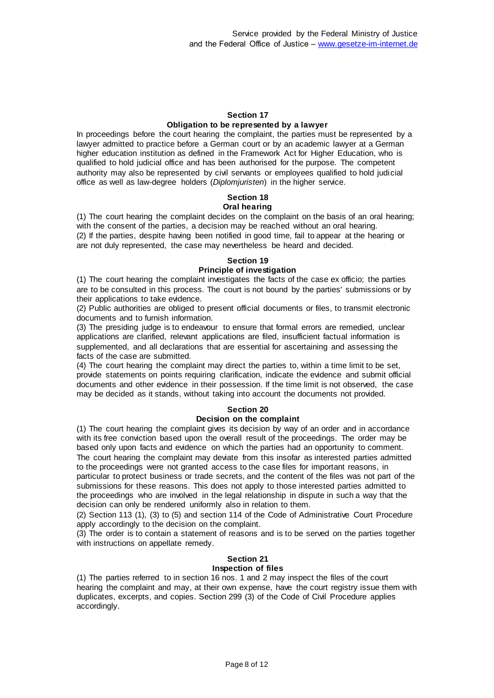### **Section 17 Obligation to be represented by a lawyer**

In proceedings before the court hearing the complaint, the parties must be represented by a lawyer admitted to practice before a German court or by an academic lawyer at a German higher education institution as defined in the Framework Act for Higher Education, who is qualified to hold judicial office and has been authorised for the purpose. The competent authority may also be represented by civil servants or employees qualified to hold judicial office as well as law-degree holders (*Diplomjuristen*) in the higher service.

#### **Section 18 Oral hearing**

(1) The court hearing the complaint decides on the complaint on the basis of an oral hearing; with the consent of the parties, a decision may be reached without an oral hearing. (2) If the parties, despite having been notified in good time, fail to appear at the hearing or are not duly represented, the case may nevertheless be heard and decided.

### **Section 19 Principle of investigation**

(1) The court hearing the complaint investigates the facts of the case ex officio; the parties are to be consulted in this process. The court is not bound by the parties' submissions or by their applications to take evidence.

(2) Public authorities are obliged to present official documents or files, to transmit electronic documents and to furnish information.

(3) The presiding judge is to endeavour to ensure that formal errors are remedied, unclear applications are clarified, relevant applications are filed, insufficient factual information is supplemented, and all declarations that are essential for ascertaining and assessing the facts of the case are submitted.

(4) The court hearing the complaint may direct the parties to, within a time limit to be set, provide statements on points requiring clarification, indicate the evidence and submit official documents and other evidence in their possession. If the time limit is not observed, the case may be decided as it stands, without taking into account the documents not provided.

# **Section 20**

# **Decision on the complaint**

(1) The court hearing the complaint gives its decision by way of an order and in accordance with its free conviction based upon the overall result of the proceedings. The order may be based only upon facts and evidence on which the parties had an opportunity to comment. The court hearing the complaint may deviate from this insofar as interested parties admitted to the proceedings were not granted access to the case files for important reasons, in particular to protect business or trade secrets, and the content of the files was not part of the submissions for these reasons. This does not apply to those interested parties admitted to the proceedings who are involved in the legal relationship in dispute in such a way that the decision can only be rendered uniformly also in relation to them.

(2) Section 113 (1), (3) to (5) and section 114 of the Code of Administrative Court Procedure apply accordingly to the decision on the complaint.

(3) The order is to contain a statement of reasons and is to be served on the parties together with instructions on appellate remedy.

# **Section 21**

# **Inspection of files**

(1) The parties referred to in section 16 nos. 1 and 2 may inspect the files of the court hearing the complaint and may, at their own expense, have the court registry issue them with duplicates, excerpts, and copies. Section 299 (3) of the Code of Civil Procedure applies accordingly.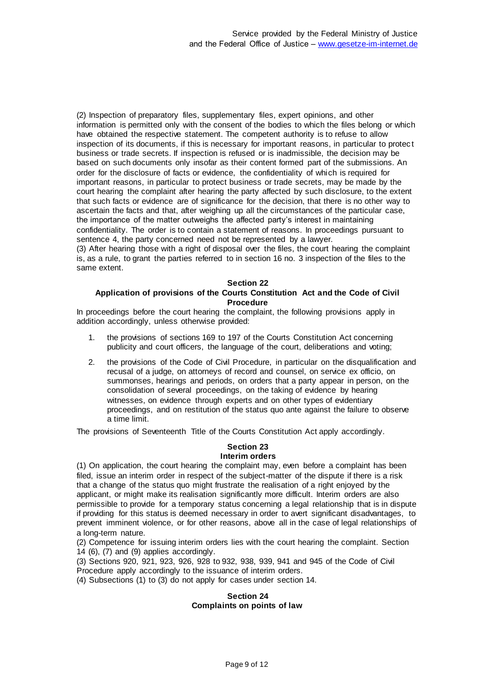(2) Inspection of preparatory files, supplementary files, expert opinions, and other information is permitted only with the consent of the bodies to which the files belong or which have obtained the respective statement. The competent authority is to refuse to allow inspection of its documents, if this is necessary for important reasons, in particular to protec t business or trade secrets. If inspection is refused or is inadmissible, the decision may be based on such documents only insofar as their content formed part of the submissions. An order for the disclosure of facts or evidence, the confidentiality of which is required for important reasons, in particular to protect business or trade secrets, may be made by the court hearing the complaint after hearing the party affected by such disclosure, to the extent that such facts or evidence are of significance for the decision, that there is no other way to ascertain the facts and that, after weighing up all the circumstances of the particular case, the importance of the matter outweighs the affected party's interest in maintaining confidentiality. The order is to contain a statement of reasons. In proceedings pursuant to sentence 4, the party concerned need not be represented by a lawyer.

(3) After hearing those with a right of disposal over the files, the court hearing the complaint is, as a rule, to grant the parties referred to in section 16 no. 3 inspection of the files to the same extent.

### **Section 22**

## **Application of provisions of the Courts Constitution Act and the Code of Civil Procedure**

In proceedings before the court hearing the complaint, the following provisions apply in addition accordingly, unless otherwise provided:

- 1. the provisions of sections 169 to 197 of the Courts Constitution Act concerning publicity and court officers, the language of the court, deliberations and voting;
- 2. the provisions of the Code of Civil Procedure, in particular on the disqualification and recusal of a judge, on attorneys of record and counsel, on service ex officio, on summonses, hearings and periods, on orders that a party appear in person, on the consolidation of several proceedings, on the taking of evidence by hearing witnesses, on evidence through experts and on other types of evidentiary proceedings, and on restitution of the status quo ante against the failure to observe a time limit.

The provisions of Seventeenth Title of the Courts Constitution Act apply accordingly.

### **Section 23 Interim orders**

(1) On application, the court hearing the complaint may, even before a complaint has been filed, issue an interim order in respect of the subject-matter of the dispute if there is a risk that a change of the status quo might frustrate the realisation of a right enjoyed by the applicant, or might make its realisation significantly more difficult. Interim orders are also permissible to provide for a temporary status concerning a legal relationship that is in dispute if providing for this status is deemed necessary in order to avert significant disadvantages, to prevent imminent violence, or for other reasons, above all in the case of legal relationships of a long-term nature.

(2) Competence for issuing interim orders lies with the court hearing the complaint. Section 14 (6), (7) and (9) applies accordingly.

(3) Sections 920, 921, 923, 926, 928 to 932, 938, 939, 941 and 945 of the Code of Civil Procedure apply accordingly to the issuance of interim orders.

(4) Subsections (1) to (3) do not apply for cases under section 14.

# **Section 24 Complaints on points of law**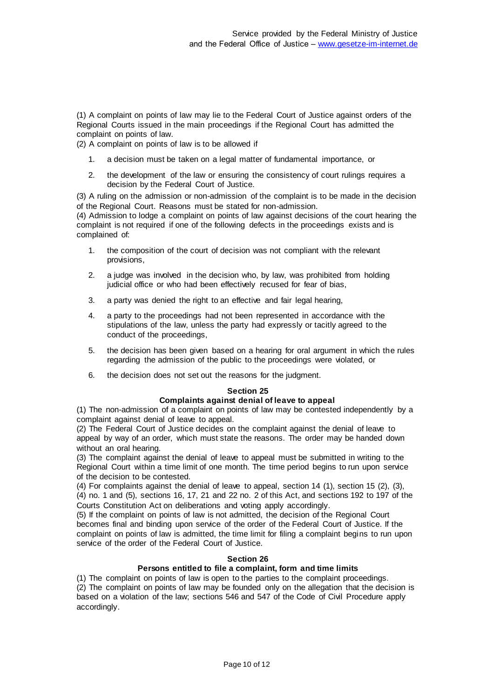(1) A complaint on points of law may lie to the Federal Court of Justice against orders of the Regional Courts issued in the main proceedings if the Regional Court has admitted the complaint on points of law.

(2) A complaint on points of law is to be allowed if

- 1. a decision must be taken on a legal matter of fundamental importance, or
- 2. the development of the law or ensuring the consistency of court rulings requires a decision by the Federal Court of Justice.

(3) A ruling on the admission or non-admission of the complaint is to be made in the decision of the Regional Court. Reasons must be stated for non-admission.

(4) Admission to lodge a complaint on points of law against decisions of the court hearing the complaint is not required if one of the following defects in the proceedings exists and is complained of:

- 1. the composition of the court of decision was not compliant with the relevant provisions,
- 2. a judge was involved in the decision who, by law, was prohibited from holding judicial office or who had been effectively recused for fear of bias,
- 3. a party was denied the right to an effective and fair legal hearing.
- 4. a party to the proceedings had not been represented in accordance with the stipulations of the law, unless the party had expressly or tacitly agreed to the conduct of the proceedings,
- 5. the decision has been given based on a hearing for oral argument in which the rules regarding the admission of the public to the proceedings were violated, or
- 6. the decision does not set out the reasons for the judgment.

### **Section 25**

### **Complaints against denial of leave to appeal**

(1) The non-admission of a complaint on points of law may be contested independently by a complaint against denial of leave to appeal.

(2) The Federal Court of Justice decides on the complaint against the denial of leave to appeal by way of an order, which must state the reasons. The order may be handed down without an oral hearing.

(3) The complaint against the denial of leave to appeal must be submitted in writing to the Regional Court within a time limit of one month. The time period begins to run upon service of the decision to be contested.

(4) For complaints against the denial of leave to appeal, section 14 (1), section 15 (2), (3), (4) no. 1 and (5), sections 16, 17, 21 and 22 no. 2 of this Act, and sections 192 to 197 of the Courts Constitution Act on deliberations and voting apply accordingly.

(5) If the complaint on points of law is not admitted, the decision of the Regional Court becomes final and binding upon service of the order of the Federal Court of Justice. If the complaint on points of law is admitted, the time limit for filing a complaint begins to run upon service of the order of the Federal Court of Justice.

# **Section 26**

# **Persons entitled to file a complaint, form and time limits**

(1) The complaint on points of law is open to the parties to the complaint proceedings. (2) The complaint on points of law may be founded only on the allegation that the decision is based on a violation of the law; sections 546 and 547 of the Code of Civil Procedure apply accordingly.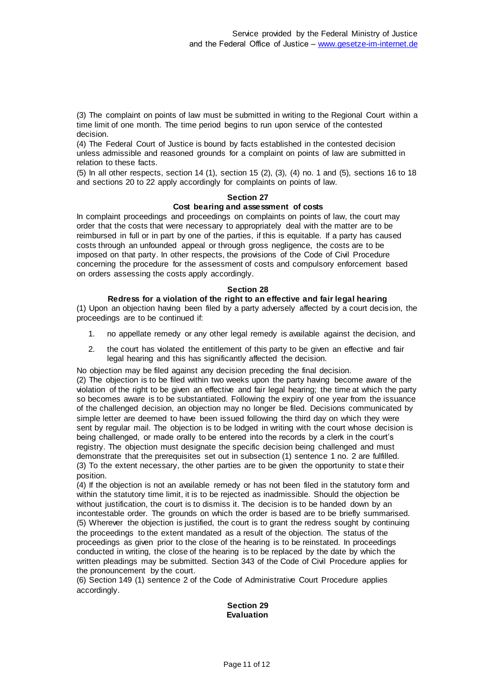(3) The complaint on points of law must be submitted in writing to the Regional Court within a time limit of one month. The time period begins to run upon service of the contested decision.

(4) The Federal Court of Justice is bound by facts established in the contested decision unless admissible and reasoned grounds for a complaint on points of law are submitted in relation to these facts.

(5) In all other respects, section 14 (1), section 15 (2), (3), (4) no. 1 and (5), sections 16 to 18 and sections 20 to 22 apply accordingly for complaints on points of law.

### **Section 27**

### **Cost bearing and assessment of costs**

In complaint proceedings and proceedings on complaints on points of law, the court may order that the costs that were necessary to appropriately deal with the matter are to be reimbursed in full or in part by one of the parties, if this is equitable. If a party has caused costs through an unfounded appeal or through gross negligence, the costs are to be imposed on that party. In other respects, the provisions of the Code of Civil Procedure concerning the procedure for the assessment of costs and compulsory enforcement based on orders assessing the costs apply accordingly.

### **Section 28**

### **Redress for a violation of the right to an effective and fair legal hearing**

(1) Upon an objection having been filed by a party adversely affected by a court decis ion, the proceedings are to be continued if:

- 1. no appellate remedy or any other legal remedy is available against the decision, and
- 2. the court has violated the entitlement of this party to be given an effective and fair legal hearing and this has significantly affected the decision.

No objection may be filed against any decision preceding the final decision.

(2) The objection is to be filed within two weeks upon the party having become aware of the violation of the right to be given an effective and fair legal hearing; the time at which the party so becomes aware is to be substantiated. Following the expiry of one year from the issuance of the challenged decision, an objection may no longer be filed. Decisions communicated by simple letter are deemed to have been issued following the third day on which they were sent by regular mail. The objection is to be lodged in writing with the court whose decision is being challenged, or made orally to be entered into the records by a clerk in the court's registry. The objection must designate the specific decision being challenged and must demonstrate that the prerequisites set out in subsection (1) sentence 1 no. 2 are fulfilled. (3) To the extent necessary, the other parties are to be given the opportunity to state their position.

(4) If the objection is not an available remedy or has not been filed in the statutory form and within the statutory time limit, it is to be rejected as inadmissible. Should the objection be without justification, the court is to dismiss it. The decision is to be handed down by an incontestable order. The grounds on which the order is based are to be briefly summarised. (5) Wherever the objection is justified, the court is to grant the redress sought by continuing the proceedings to the extent mandated as a result of the objection. The status of the proceedings as given prior to the close of the hearing is to be reinstated. In proceedings conducted in writing, the close of the hearing is to be replaced by the date by which the written pleadings may be submitted. Section 343 of the Code of Civil Procedure applies for the pronouncement by the court.

(6) Section 149 (1) sentence 2 of the Code of Administrative Court Procedure applies accordingly.

### **Section 29 Evaluation**